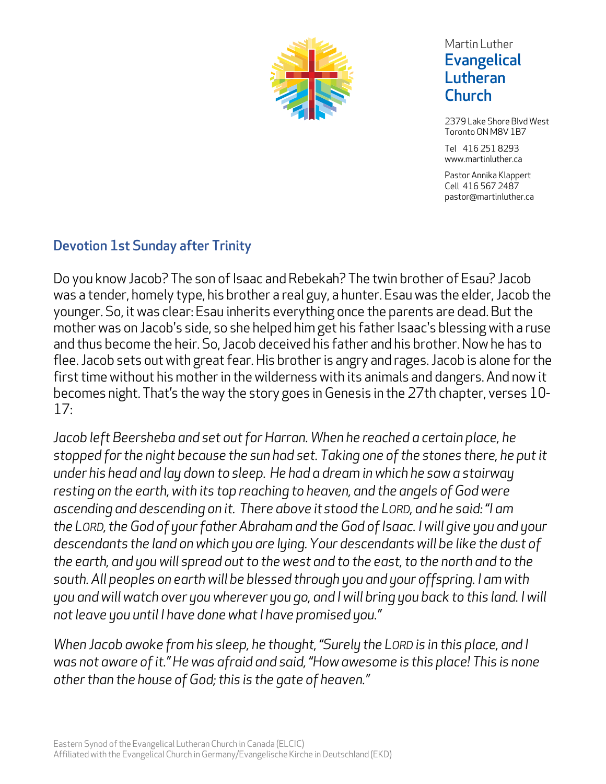

### Martin Luther **Evangelical** Lutheran **Church**

2379 Lake Shore Blvd West Toronto ON M8V 1B7

Tel 416 251 8293 www.martinluther.ca

Pastor Annika Klappert Cell 416 567 2487 pastor@martinluther.ca

## Devotion 1st Sunday after Trinity

Do you know Jacob? The son of Isaac and Rebekah? The twin brother of Esau? Jacob was a tender, homely type, his brother a real guy, a hunter. Esau was the elder, Jacob the younger. So, it was clear: Esau inherits everything once the parents are dead. But the mother was on Jacob's side, so she helped him get his father Isaac's blessing with a ruse and thus become the heir. So, Jacob deceived his father and his brother. Now he has to flee. Jacob sets out with great fear. His brother is angry and rages. Jacob is alone for the first time without his mother in the wilderness with its animals and dangers. And now it becomes night. That's the way the story goes in Genesis in the 27th chapter, verses 10- 17:

*Jacob left Beersheba and set out for Harran. When he reached a certain place, he stopped for the night because the sun had set. Taking one of the stones there, he put it under his head and lay down to sleep. He had a dream in which he saw a stairway resting on the earth, with its top reaching to heaven, and the angels of God were ascending and descending on it. There above itstood the LORD, and he said: "I am the LORD, the God of your father Abraham and the God of Isaac. I will give you and your descendants the land on which you are lying.Your descendants will be like the dust of the earth, and you will spread out to the west and to the east, to the north and to the south. All peoples on earth will be blessed through you and your offspring. I am with you and will watch over you wherever you go, and I will bring you back to this land. I will not leave you until I have done what I have promised you."*

*When Jacob awoke from his sleep, he thought, "Surely the LORD is in this place, and I was not aware of it."He was afraid and said, "How awesome is this place! This is none other than the house of God;this is the gate of heaven."*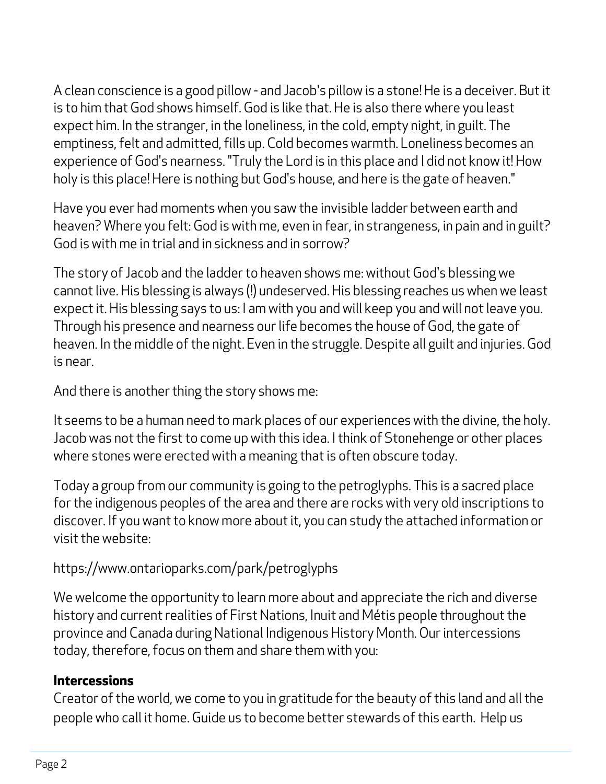A clean conscience is a good pillow - and Jacob's pillow is a stone! He is a deceiver. But it is to him that God shows himself. God is like that. He is also there where you least expect him. In the stranger, in the loneliness, in the cold, empty night, in guilt. The emptiness, felt and admitted, fills up. Cold becomes warmth. Loneliness becomes an experience of God's nearness. "Truly the Lord is in this place and I did not know it! How holy is this place! Here is nothing but God's house, and here is the gate of heaven."

Have you ever had moments when you saw the invisible ladder between earth and heaven? Where you felt: God is with me, even in fear, in strangeness, in pain and in guilt? God is with me in trial and in sickness and in sorrow?

The story of Jacob and the ladder to heaven shows me: without God's blessing we cannot live. His blessing is always (!) undeserved. His blessing reaches us when we least expect it. His blessing says to us: I am with you and will keep you and will not leave you. Through his presence and nearness our life becomes the house of God, the gate of heaven. In the middle of the night. Even in the struggle. Despite all guilt and injuries. God is near.

And there is another thing the story shows me:

It seems to be a human need to mark places of our experiences with the divine, the holy. Jacob was not the first to come up with this idea. I think of Stonehenge or other places where stones were erected with a meaning that is often obscure today.

Today a group from our community is going to the petroglyphs. This is a sacred place for the indigenous peoples of the area and there are rocks with very old inscriptions to discover. If you want to know more about it, you can study the attached information or visit the website:

# https://www.ontarioparks.com/park/petroglyphs

We welcome the opportunity to learn more about and appreciate the rich and diverse history and current realities of First Nations, Inuit and Métis people throughout the province and Canada during National Indigenous History Month. Our intercessions today, therefore, focus on them and share them with you:

## **Intercessions**

Creator of the world, we come to you in gratitude for the beauty of this land and all the people who call it home. Guide us to become better stewards of this earth. Help us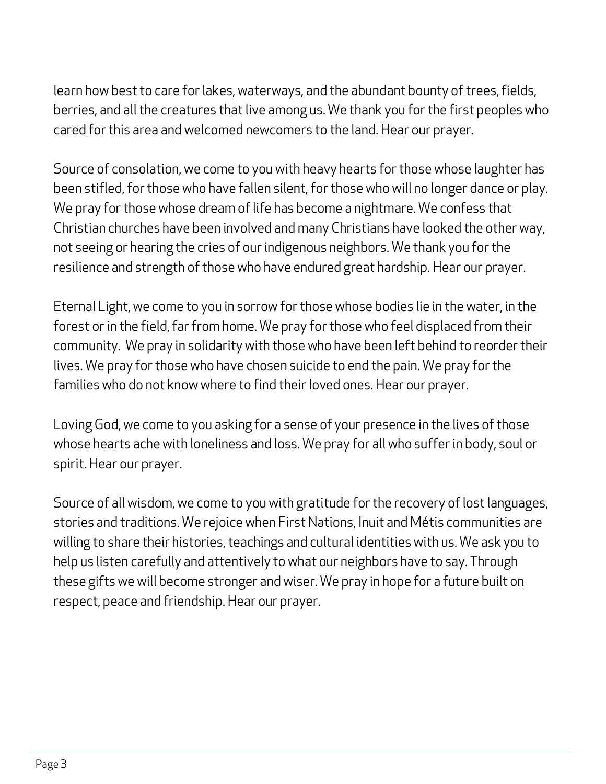learn how best to care for lakes, waterways, and the abundant bounty of trees, fields, berries, and all the creatures that live among us. We thank you for the first peoples who cared for this area and welcomed newcomers to the land. Hear our prayer.

Source of consolation, we come to you with heavy hearts for those whose laughter has been stifled, for those who have fallen silent, for those who will no longer dance or play. We pray for those whose dream of life has become a nightmare. We confess that Christian churches have been involved and many Christians have looked the other way, not seeing or hearing the cries of our indigenous neighbors. We thank you for the resilience and strength of those who have endured great hardship. Hear our prayer.

Eternal Light, we come to you in sorrow for those whose bodies lie in the water, in the forest or in the field, far from home. We pray for those who feel displaced from their community. We pray in solidarity with those who have been left behind to reorder their lives. We pray for those who have chosen suicide to end the pain. We pray for the families who do not know where to find their loved ones. Hear our prayer.

Loving God, we come to you asking for a sense of your presence in the lives of those whose hearts ache with loneliness and loss. We pray for all who suffer in body, soul or spirit. Hear our prayer.

Source of all wisdom, we come to you with gratitude for the recovery of lost languages, stories and traditions. We rejoice when First Nations, Inuit and Métis communities are willing to share their histories, teachings and cultural identities with us. We ask you to help us listen carefully and attentively to what our neighbors have to say. Through these gifts we will become stronger and wiser. We pray in hope for a future built on respect, peace and friendship. Hear our prayer.